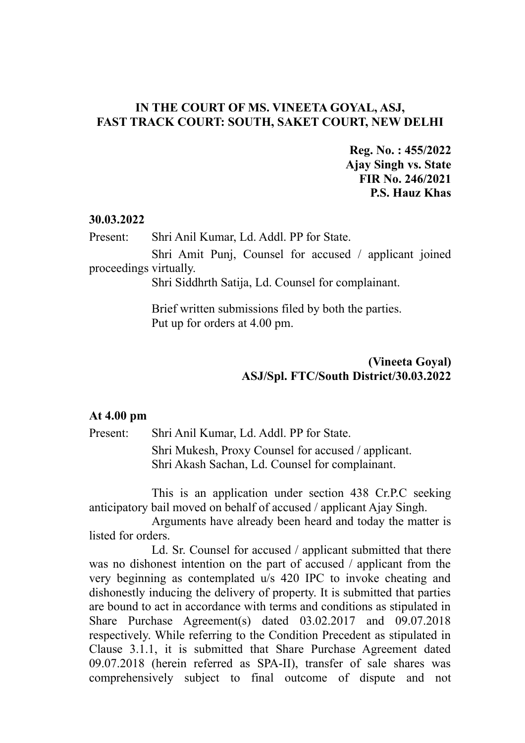## **IN THE COURT OF MS. VINEETA GOYAL, ASJ, FAST TRACK COURT: SOUTH, SAKET COURT, NEW DELHI**

**Reg. No. : 455/2022 Ajay Singh vs. State FIR No. 246/2021 P.S. Hauz Khas**

## **30.03.2022**

Present: Shri Anil Kumar, Ld. Addl. PP for State.

Shri Amit Punj, Counsel for accused / applicant joined proceedings virtually.

Shri Siddhrth Satija, Ld. Counsel for complainant.

Brief written submissions filed by both the parties. Put up for orders at 4.00 pm.

## **(Vineeta Goyal) ASJ/Spl. FTC/South District/30.03.2022**

## **At 4.00 pm**

Present: Shri Anil Kumar, Ld. Addl. PP for State. Shri Mukesh, Proxy Counsel for accused / applicant. Shri Akash Sachan, Ld. Counsel for complainant.

This is an application under section 438 Cr.P.C seeking anticipatory bail moved on behalf of accused / applicant Ajay Singh.

Arguments have already been heard and today the matter is listed for orders.

Ld. Sr. Counsel for accused / applicant submitted that there was no dishonest intention on the part of accused / applicant from the very beginning as contemplated u/s 420 IPC to invoke cheating and dishonestly inducing the delivery of property. It is submitted that parties are bound to act in accordance with terms and conditions as stipulated in Share Purchase Agreement(s) dated 03.02.2017 and 09.07.2018 respectively. While referring to the Condition Precedent as stipulated in Clause 3.1.1, it is submitted that Share Purchase Agreement dated 09.07.2018 (herein referred as SPA-II), transfer of sale shares was comprehensively subject to final outcome of dispute and not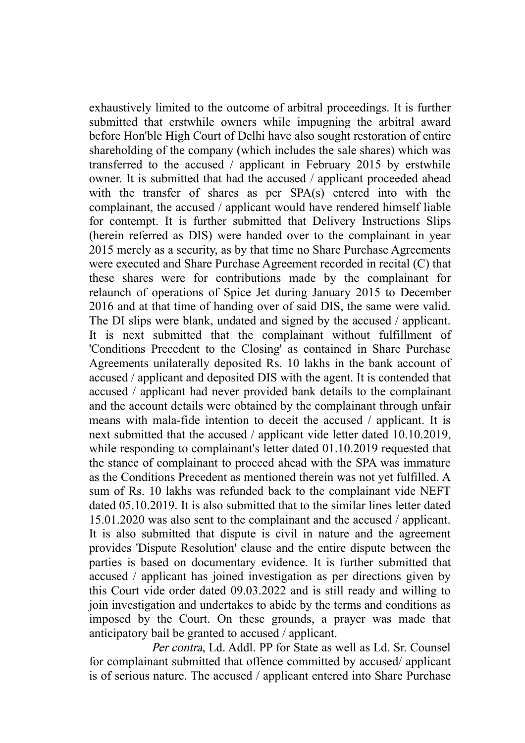exhaustively limited to the outcome of arbitral proceedings. It is further submitted that erstwhile owners while impugning the arbitral award before Hon'ble High Court of Delhi have also sought restoration of entire shareholding of the company (which includes the sale shares) which was transferred to the accused / applicant in February 2015 by erstwhile owner. It is submitted that had the accused / applicant proceeded ahead with the transfer of shares as per SPA(s) entered into with the complainant, the accused / applicant would have rendered himself liable for contempt. It is further submitted that Delivery Instructions Slips (herein referred as DIS) were handed over to the complainant in year 2015 merely as a security, as by that time no Share Purchase Agreements were executed and Share Purchase Agreement recorded in recital (C) that these shares were for contributions made by the complainant for relaunch of operations of Spice Jet during January 2015 to December 2016 and at that time of handing over of said DIS, the same were valid. The DI slips were blank, undated and signed by the accused / applicant. It is next submitted that the complainant without fulfillment of 'Conditions Precedent to the Closing' as contained in Share Purchase Agreements unilaterally deposited Rs. 10 lakhs in the bank account of accused / applicant and deposited DIS with the agent. It is contended that accused / applicant had never provided bank details to the complainant and the account details were obtained by the complainant through unfair means with mala-fide intention to deceit the accused / applicant. It is next submitted that the accused / applicant vide letter dated 10.10.2019, while responding to complainant's letter dated 01.10.2019 requested that the stance of complainant to proceed ahead with the SPA was immature as the Conditions Precedent as mentioned therein was not yet fulfilled. A sum of Rs. 10 lakhs was refunded back to the complainant vide NEFT dated 05.10.2019. It is also submitted that to the similar lines letter dated 15.01.2020 was also sent to the complainant and the accused / applicant. It is also submitted that dispute is civil in nature and the agreement provides 'Dispute Resolution' clause and the entire dispute between the parties is based on documentary evidence. It is further submitted that accused / applicant has joined investigation as per directions given by this Court vide order dated 09.03.2022 and is still ready and willing to join investigation and undertakes to abide by the terms and conditions as imposed by the Court. On these grounds, a prayer was made that anticipatory bail be granted to accused / applicant.

Per contra, Ld. Addl. PP for State as well as Ld. Sr. Counsel for complainant submitted that offence committed by accused/ applicant is of serious nature. The accused / applicant entered into Share Purchase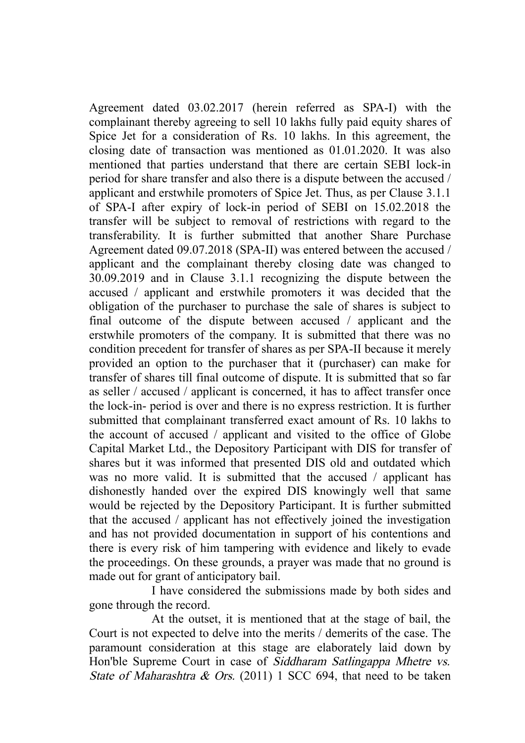Agreement dated 03.02.2017 (herein referred as SPA-I) with the complainant thereby agreeing to sell 10 lakhs fully paid equity shares of Spice Jet for a consideration of Rs. 10 lakhs. In this agreement, the closing date of transaction was mentioned as 01.01.2020. It was also mentioned that parties understand that there are certain SEBI lock-in period for share transfer and also there is a dispute between the accused / applicant and erstwhile promoters of Spice Jet. Thus, as per Clause 3.1.1 of SPA-I after expiry of lock-in period of SEBI on 15.02.2018 the transfer will be subject to removal of restrictions with regard to the transferability. It is further submitted that another Share Purchase Agreement dated 09.07.2018 (SPA-II) was entered between the accused / applicant and the complainant thereby closing date was changed to 30.09.2019 and in Clause 3.1.1 recognizing the dispute between the accused / applicant and erstwhile promoters it was decided that the obligation of the purchaser to purchase the sale of shares is subject to final outcome of the dispute between accused / applicant and the erstwhile promoters of the company. It is submitted that there was no condition precedent for transfer of shares as per SPA-II because it merely provided an option to the purchaser that it (purchaser) can make for transfer of shares till final outcome of dispute. It is submitted that so far as seller / accused / applicant is concerned, it has to affect transfer once the lock-in- period is over and there is no express restriction. It is further submitted that complainant transferred exact amount of Rs. 10 lakhs to the account of accused / applicant and visited to the office of Globe Capital Market Ltd., the Depository Participant with DIS for transfer of shares but it was informed that presented DIS old and outdated which was no more valid. It is submitted that the accused / applicant has dishonestly handed over the expired DIS knowingly well that same would be rejected by the Depository Participant. It is further submitted that the accused / applicant has not effectively joined the investigation and has not provided documentation in support of his contentions and there is every risk of him tampering with evidence and likely to evade the proceedings. On these grounds, a prayer was made that no ground is made out for grant of anticipatory bail.

I have considered the submissions made by both sides and gone through the record.

At the outset, it is mentioned that at the stage of bail, the Court is not expected to delve into the merits / demerits of the case. The paramount consideration at this stage are elaborately laid down by Hon'ble Supreme Court in case of Siddharam Satlingappa Mhetre vs. State of Maharashtra & Ors. (2011) 1 SCC 694, that need to be taken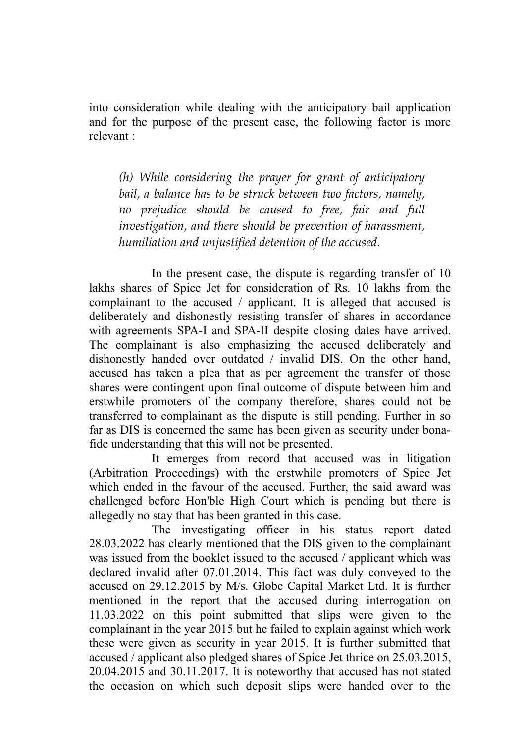into consideration while dealing with the anticipatory bail application and for the purpose of the present case, the following factor is more relevant :

*(h) While considering the prayer for grant of anticipatory bail, a balance has to be struck between two factors, namely, no prejudice should be caused to free, fair and full investigation, and there should be prevention of harassment, humiliation and unjustified detention of the accused.* 

In the present case, the dispute is regarding transfer of 10 lakhs shares of Spice Jet for consideration of Rs. 10 lakhs from the complainant to the accused / applicant. It is alleged that accused is deliberately and dishonestly resisting transfer of shares in accordance with agreements SPA-I and SPA-II despite closing dates have arrived. The complainant is also emphasizing the accused deliberately and dishonestly handed over outdated / invalid DIS. On the other hand, accused has taken a plea that as per agreement the transfer of those shares were contingent upon final outcome of dispute between him and erstwhile promoters of the company therefore, shares could not be transferred to complainant as the dispute is still pending. Further in so far as DIS is concerned the same has been given as security under bonafide understanding that this will not be presented.

It emerges from record that accused was in litigation (Arbitration Proceedings) with the erstwhile promoters of Spice Jet which ended in the favour of the accused. Further, the said award was challenged before Hon'ble High Court which is pending but there is allegedly no stay that has been granted in this case.

The investigating officer in his status report dated 28.03.2022 has clearly mentioned that the DIS given to the complainant was issued from the booklet issued to the accused / applicant which was declared invalid after 07.01.2014. This fact was duly conveyed to the accused on 29.12.2015 by M/s. Globe Capital Market Ltd. It is further mentioned in the report that the accused during interrogation on 11.03.2022 on this point submitted that slips were given to the complainant in the year 2015 but he failed to explain against which work these were given as security in year 2015. It is further submitted that accused / applicant also pledged shares of Spice Jet thrice on 25.03.2015, 20.04.2015 and 30.11.2017. It is noteworthy that accused has not stated the occasion on which such deposit slips were handed over to the